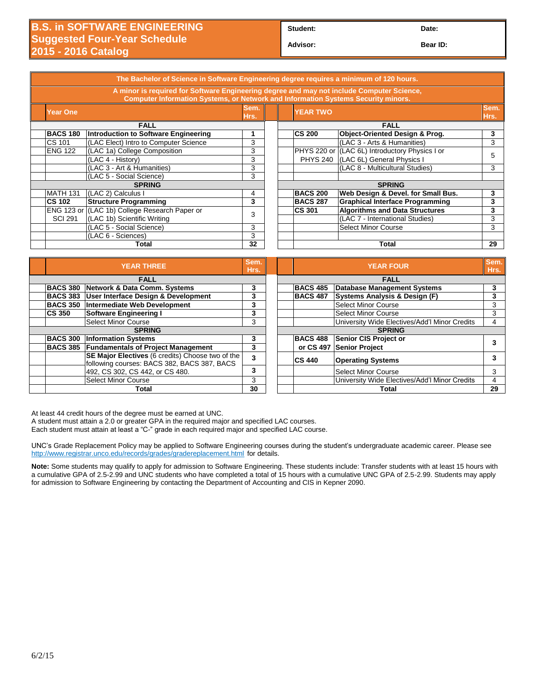**Student: Date:**

**Advisor: Bear ID:** 

| The Bachelor of Science in Software Engineering degree requires a minimum of 120 hours.                                                                                               |                 |                                               |              |  |                                 |                                                |    |  |
|---------------------------------------------------------------------------------------------------------------------------------------------------------------------------------------|-----------------|-----------------------------------------------|--------------|--|---------------------------------|------------------------------------------------|----|--|
| A minor is required for Software Engineering degree and may not include Computer Science,<br><b>Computer Information Systems, or Network and Information Systems Security minors.</b> |                 |                                               |              |  |                                 |                                                |    |  |
| <b>Year One</b>                                                                                                                                                                       |                 |                                               | Sem.<br>Hrs. |  | Sem.<br><b>YEAR TWO</b><br>Hrs. |                                                |    |  |
| <b>FALL</b>                                                                                                                                                                           |                 |                                               |              |  | <b>FALL</b>                     |                                                |    |  |
|                                                                                                                                                                                       | <b>BACS 180</b> | Introduction to Software Engineering          |              |  | <b>CS 200</b>                   | Object-Oriented Design & Prog.                 | 3  |  |
| CS 101                                                                                                                                                                                |                 | (LAC Elect) Intro to Computer Science         | 3            |  |                                 | (LAC 3 - Arts & Humanities)                    | 3  |  |
| <b>ENG 122</b>                                                                                                                                                                        |                 | (LAC 1a) College Composition                  | 3            |  |                                 | PHYS 220 or (LAC 6L) Introductory Physics I or |    |  |
|                                                                                                                                                                                       |                 | (LAC 4 - History)                             | 3            |  | <b>PHYS 240</b>                 | (LAC 6L) General Physics I                     | 5  |  |
|                                                                                                                                                                                       |                 | (LAC 3 - Art & Humanities)                    | 3            |  |                                 | (LAC 8 - Multicultural Studies)                | 3  |  |
|                                                                                                                                                                                       |                 | (LAC 5 - Social Science)                      | 3            |  |                                 |                                                |    |  |
|                                                                                                                                                                                       | <b>SPRING</b>   |                                               |              |  | <b>SPRING</b>                   |                                                |    |  |
|                                                                                                                                                                                       | <b>MATH 131</b> | (LAC 2) Calculus I                            | 4            |  | <b>BACS 200</b>                 | Web Design & Devel. for Small Bus.             | 3  |  |
| <b>CS 102</b>                                                                                                                                                                         |                 | <b>Structure Programming</b>                  | 3            |  | <b>BACS 287</b>                 | <b>Graphical Interface Programming</b>         | 3  |  |
|                                                                                                                                                                                       |                 | ENG 123 or (LAC 1b) College Research Paper or |              |  | <b>CS 301</b>                   | <b>Algorithms and Data Structures</b>          | 3  |  |
|                                                                                                                                                                                       | <b>SCI 291</b>  | (LAC 1b) Scientific Writing                   | 3            |  |                                 | (LAC 7 - International Studies)                | 3  |  |
|                                                                                                                                                                                       |                 | (LAC 5 - Social Science)                      | 3            |  |                                 | <b>Select Minor Course</b>                     | 3  |  |
|                                                                                                                                                                                       |                 | (LAC 6 - Sciences)                            | 3            |  |                                 |                                                |    |  |
|                                                                                                                                                                                       | 32<br>Total     |                                               |              |  |                                 | Total                                          | 29 |  |
|                                                                                                                                                                                       |                 |                                               |              |  |                                 |                                                |    |  |

|                 | <b>YEAR THREE</b>                                                                                                                                     |   |  |                 | <b>YEAR FOUR</b>                              | <b>Sen</b><br><b>Hrs</b> |
|-----------------|-------------------------------------------------------------------------------------------------------------------------------------------------------|---|--|-----------------|-----------------------------------------------|--------------------------|
|                 | <b>FALL</b>                                                                                                                                           |   |  |                 | <b>FALL</b>                                   |                          |
|                 | <b>BACS 380 Network &amp; Data Comm. Systems</b>                                                                                                      | 3 |  | <b>BACS 485</b> | <b>Database Management Systems</b>            | 3                        |
| <b>BACS 383</b> | <b>User Interface Design &amp; Development</b>                                                                                                        |   |  | <b>BACS 487</b> | Systems Analysis & Design (F)                 | 3                        |
| <b>BACS 350</b> | Intermediate Web Development                                                                                                                          | 3 |  |                 | Select Minor Course                           | 3                        |
| <b>CS 350</b>   | Software Engineering I                                                                                                                                | 3 |  |                 | Select Minor Course                           | 3                        |
|                 | <b>Select Minor Course</b>                                                                                                                            | 3 |  |                 | University Wide Electives/Add'l Minor Credits | 4                        |
|                 | <b>SPRING</b>                                                                                                                                         |   |  |                 | <b>SPRING</b>                                 |                          |
| <b>BACS 300</b> | <b>Information Systems</b>                                                                                                                            | 3 |  | <b>BACS 488</b> | Senior CIS Project or                         | 3                        |
|                 | <b>BACS 385 Fundamentals of Project Management</b><br>SE Major Electives (6 credits) Choose two of the<br>following courses: BACS 382, BACS 387, BACS |   |  | or CS 497       | Senior Project                                |                          |
|                 |                                                                                                                                                       |   |  | <b>CS 440</b>   | <b>Operating Systems</b>                      | 3                        |
|                 | 492, CS 302, CS 442, or CS 480.                                                                                                                       | 3 |  |                 | Select Minor Course                           | 3                        |
|                 | <b>Select Minor Course</b>                                                                                                                            | 3 |  |                 | University Wide Electives/Add'l Minor Credits | 4                        |
| Total           |                                                                                                                                                       |   |  |                 | Total                                         | 29                       |

| Sem.<br>Hrs. |               | Sem.<br><b>YEAR FOUR</b><br>Hrs.                            |                                               |    |  |  |  |
|--------------|---------------|-------------------------------------------------------------|-----------------------------------------------|----|--|--|--|
|              |               | <b>FALL</b>                                                 |                                               |    |  |  |  |
| 3            |               | <b>BACS 485</b><br><b>Database Management Systems</b>       |                                               |    |  |  |  |
| 3            |               | <b>Systems Analysis &amp; Design (F)</b><br><b>BACS 487</b> |                                               |    |  |  |  |
| 3            |               |                                                             | <b>Select Minor Course</b>                    | 3  |  |  |  |
| 3            |               |                                                             | <b>Select Minor Course</b>                    | 3  |  |  |  |
| 3            |               |                                                             | University Wide Electives/Add'l Minor Credits | 4  |  |  |  |
|              | <b>SPRING</b> |                                                             |                                               |    |  |  |  |
| 3            |               | <b>BACS 488</b>                                             | <b>Senior CIS Project or</b>                  |    |  |  |  |
| 3            |               | or CS 497                                                   | <b>Senior Project</b>                         | 3  |  |  |  |
| 3            |               | <b>CS 440</b>                                               | <b>Operating Systems</b>                      | 3  |  |  |  |
| 3            |               |                                                             | <b>Select Minor Course</b>                    | 3  |  |  |  |
| 3            |               |                                                             | University Wide Electives/Add'l Minor Credits | 4  |  |  |  |
| 30           |               | Total                                                       |                                               | 29 |  |  |  |

At least 44 credit hours of the degree must be earned at UNC.

A student must attain a 2.0 or greater GPA in the required major and specified LAC courses.

Each student must attain at least a "C-" grade in each required major and specified LAC course.

UNC's Grade Replacement Policy may be applied to Software Engineering courses during the student's undergraduate academic career. Please see <http://www.registrar.unco.edu/records/grades/gradereplacement.html> for details.

**Note:** Some students may qualify to apply for admission to Software Engineering. These students include: Transfer students with at least 15 hours with a cumulative GPA of 2.5-2.99 and UNC students who have completed a total of 15 hours with a cumulative UNC GPA of 2.5-2.99. Students may apply for admission to Software Engineering by contacting the Department of Accounting and CIS in Kepner 2090.